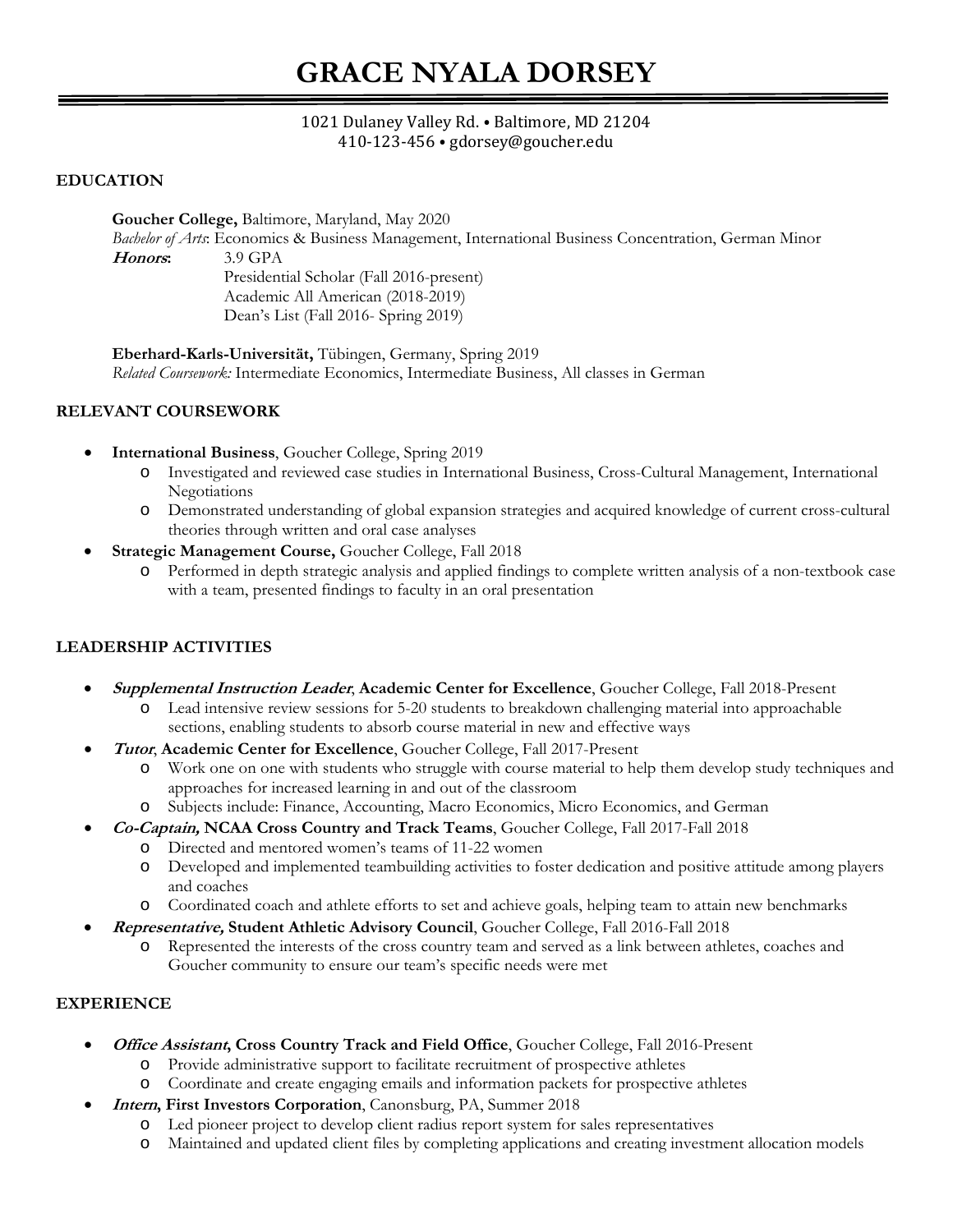# **GRACE NYALA DORSEY**

#### 1021 Dulaney Valley Rd. ⦁ Baltimore, MD 21204 410-123-456 ⦁ gdorsey@goucher.edu

#### **EDUCATION**

**Goucher College,** Baltimore, Maryland, May 2020 *Bachelor of Arts*: Economics & Business Management, International Business Concentration, German Minor **Honors:** 3.9 GPA Presidential Scholar (Fall 2016-present) Academic All American (2018-2019) Dean's List (Fall 2016- Spring 2019)

**Eberhard-Karls-Universität,** Tübingen, Germany, Spring 2019 *Related Coursework:* Intermediate Economics, Intermediate Business, All classes in German

#### **RELEVANT COURSEWORK**

- **International Business**, Goucher College, Spring 2019
	- o Investigated and reviewed case studies in International Business, Cross-Cultural Management, International Negotiations
	- o Demonstrated understanding of global expansion strategies and acquired knowledge of current cross-cultural theories through written and oral case analyses
- **Strategic Management Course,** Goucher College, Fall 2018
	- o Performed in depth strategic analysis and applied findings to complete written analysis of a non-textbook case with a team, presented findings to faculty in an oral presentation

#### **LEADERSHIP ACTIVITIES**

- **Supplemental Instruction Leader**, **Academic Center for Excellence**, Goucher College, Fall 2018-Present
	- o Lead intensive review sessions for 5-20 students to breakdown challenging material into approachable sections, enabling students to absorb course material in new and effective ways
- **Tutor**, **Academic Center for Excellence**, Goucher College, Fall 2017-Present
	- o Work one on one with students who struggle with course material to help them develop study techniques and approaches for increased learning in and out of the classroom
	- o Subjects include: Finance, Accounting, Macro Economics, Micro Economics, and German
	- **Co-Captain, NCAA Cross Country and Track Teams**, Goucher College, Fall 2017-Fall 2018
		- o Directed and mentored women's teams of 11-22 women
		- o Developed and implemented teambuilding activities to foster dedication and positive attitude among players and coaches
		- o Coordinated coach and athlete efforts to set and achieve goals, helping team to attain new benchmarks
- **Representative, Student Athletic Advisory Council**, Goucher College, Fall 2016-Fall 2018
	- o Represented the interests of the cross country team and served as a link between athletes, coaches and Goucher community to ensure our team's specific needs were met

#### **EXPERIENCE**

- **Office Assistant, Cross Country Track and Field Office**, Goucher College, Fall 2016-Present
	- o Provide administrative support to facilitate recruitment of prospective athletes
	- o Coordinate and create engaging emails and information packets for prospective athletes
- **Intern, First Investors Corporation**, Canonsburg, PA, Summer 2018
	- o Led pioneer project to develop client radius report system for sales representatives
	- o Maintained and updated client files by completing applications and creating investment allocation models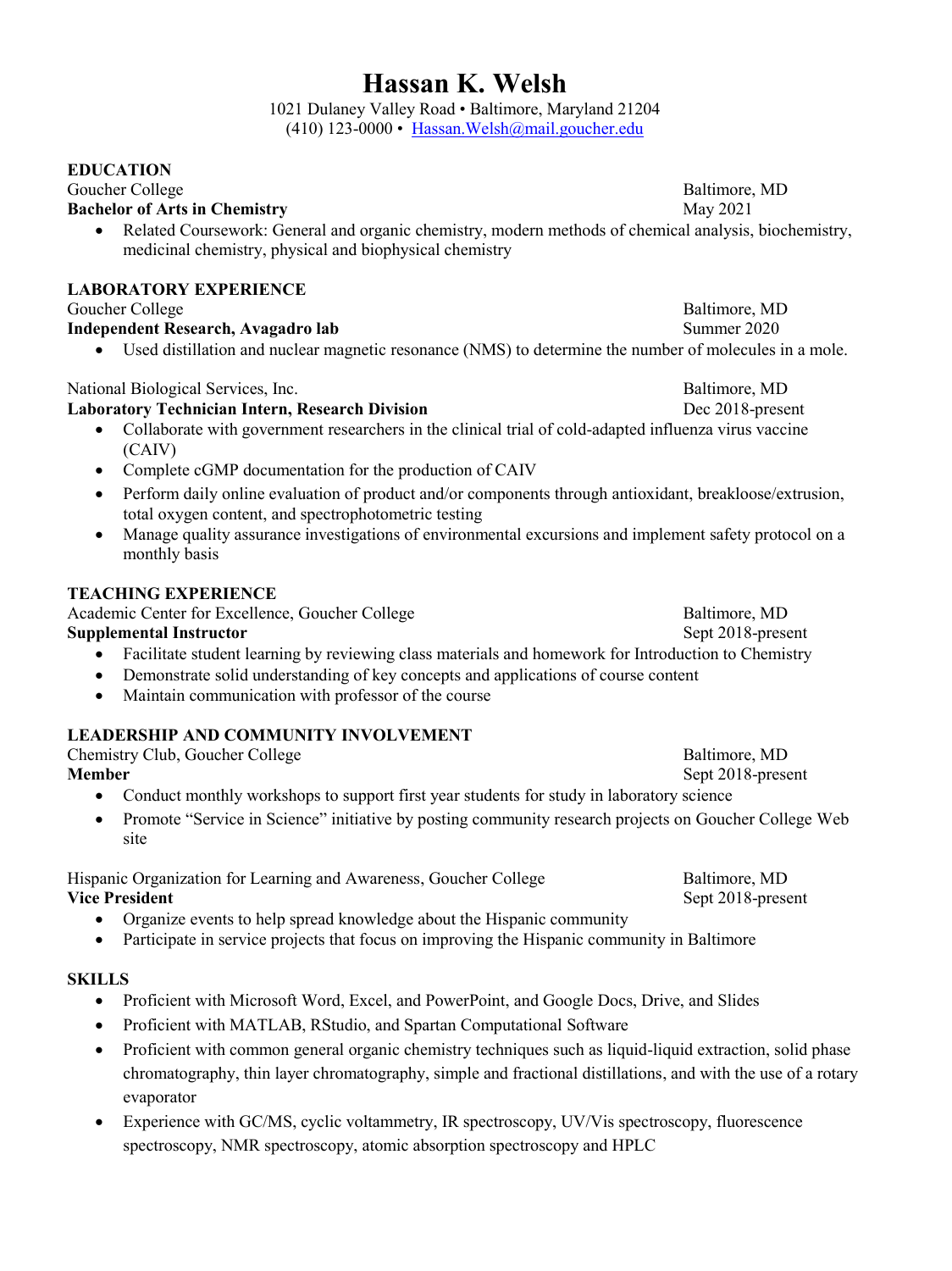## **Hassan K. Welsh**

1021 Dulaney Valley Road • Baltimore, Maryland 21204  $(410)$  123-0000 • Hassan. Welsh $@$ mail.goucher.edu

#### **EDUCATION**

#### Goucher College Baltimore, MD<br> **Bachelor of Arts in Chemistry** (and a set of Arts in Chemistry (and a set of Arts in Chemistry (and a set of Arts in Chemistry (and a set of Arts in Chemistry (and a set of Arts in Chemistry **Bachelor of Arts in Chemistry**

- 
- Related Coursework: General and organic chemistry, modern methods of chemical analysis, biochemistry, medicinal chemistry, physical and biophysical chemistry

#### **LABORATORY EXPERIENCE**

Goucher College Baltimore, MD

#### **Independent Research, Avagadro lab** Summer 2020

Used distillation and nuclear magnetic resonance (NMS) to determine the number of molecules in a mole.

#### National Biological Services, Inc. Baltimore, MD

#### **Laboratory Technician Intern, Research Division** Dec 2018-present

- Collaborate with government researchers in the clinical trial of cold-adapted influenza virus vaccine (CAIV)
- Complete cGMP documentation for the production of CAIV
- Perform daily online evaluation of product and/or components through antioxidant, breakloose/extrusion, total oxygen content, and spectrophotometric testing
- Manage quality assurance investigations of environmental excursions and implement safety protocol on a monthly basis

#### **TEACHING EXPERIENCE**

Academic Center for Excellence, Goucher College Baltimore, MD **Supplemental Instructor** Sept 2018-present

- Facilitate student learning by reviewing class materials and homework for Introduction to Chemistry
- Demonstrate solid understanding of key concepts and applications of course content
- Maintain communication with professor of the course

#### **LEADERSHIP AND COMMUNITY INVOLVEMENT**

| Chemistry Club, Goucher College | Baltimore, MD     |
|---------------------------------|-------------------|
| Member                          | Sept 2018-present |
|                                 |                   |

- Conduct monthly workshops to support first year students for study in laboratory science
- Promote "Service in Science" initiative by posting community research projects on Goucher College Web site

Hispanic Organization for Learning and Awareness, Goucher College Baltimore, MD **Vice President** Sept 2018-present

- Organize events to help spread knowledge about the Hispanic community
- Participate in service projects that focus on improving the Hispanic community in Baltimore

#### **SKILLS**

- Proficient with Microsoft Word, Excel, and PowerPoint, and Google Docs, Drive, and Slides
- Proficient with MATLAB, RStudio, and Spartan Computational Software
- Proficient with common general organic chemistry techniques such as liquid-liquid extraction, solid phase chromatography, thin layer chromatography, simple and fractional distillations, and with the use of a rotary evaporator
- Experience with GC/MS, cyclic voltammetry, IR spectroscopy, UV/Vis spectroscopy, fluorescence spectroscopy, NMR spectroscopy, atomic absorption spectroscopy and HPLC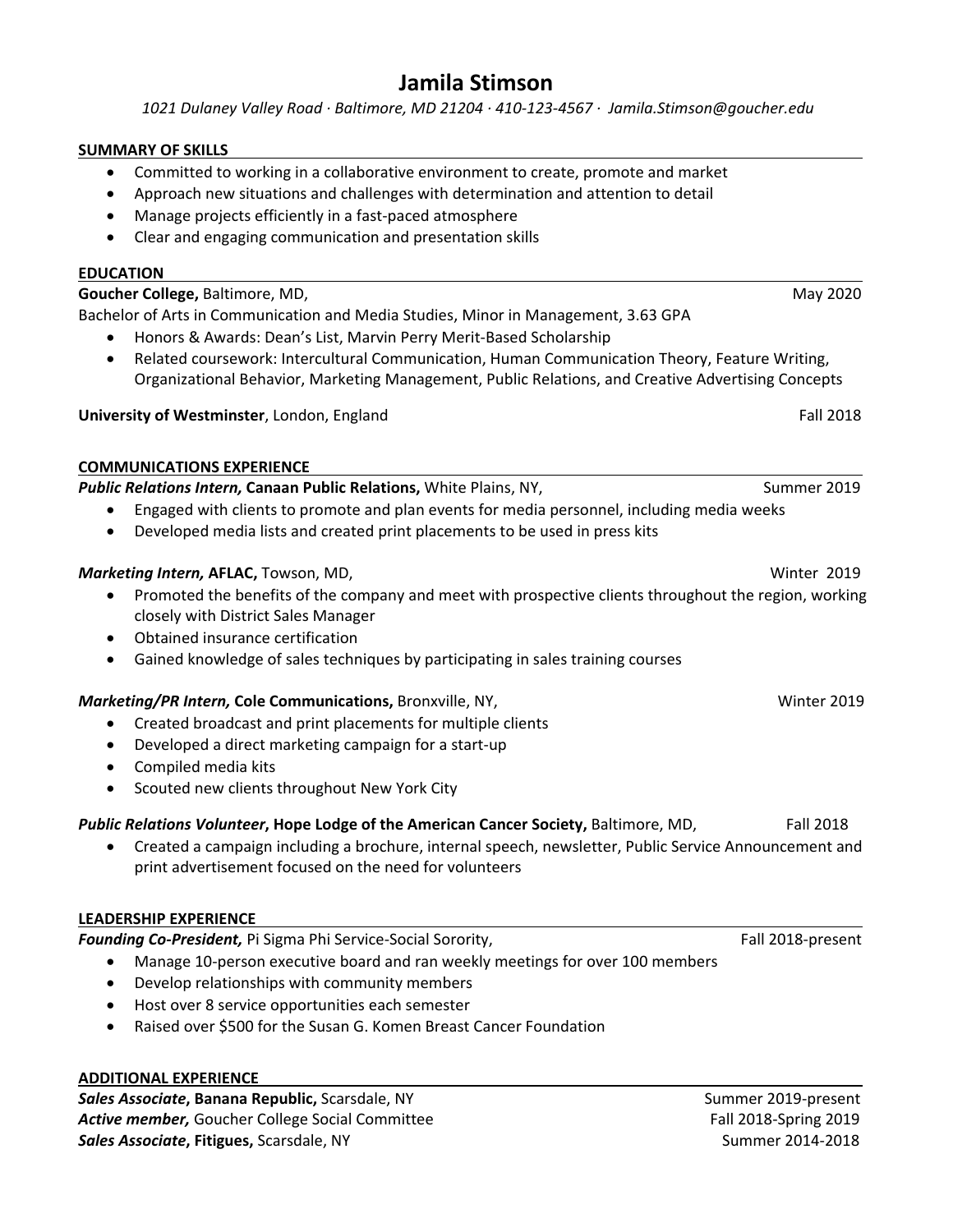### **Jamila Stimson**

 *1021 Dulaney Valley Road ∙ Baltimore, MD 21204 ∙ 410‐123‐4567 ∙ Jamila.Stimson@goucher.edu* 

#### **SUMMARY OF SKILLS**

- Committed to working in a collaborative environment to create, promote and market
- Approach new situations and challenges with determination and attention to detail
- Manage projects efficiently in a fast‐paced atmosphere
- Clear and engaging communication and presentation skills

#### **EDUCATION**

**Goucher College, Baltimore, MD, and the college of the college of the college, Baltimore, MD, and the college of the college of the college of the college of the college of the college of the college of the college of the** Bachelor of Arts in Communication and Media Studies, Minor in Management, 3.63 GPA

- Honors & Awards: Dean's List, Marvin Perry Merit‐Based Scholarship
- Related coursework: Intercultural Communication, Human Communication Theory, Feature Writing, Organizational Behavior, Marketing Management, Public Relations, and Creative Advertising Concepts

**University of Westminster**, London, England Fall 2018

#### **COMMUNICATIONS EXPERIENCE**

*Public Relations Intern,* **Canaan Public Relations,** White Plains, NY,Summer 2019

- Engaged with clients to promote and plan events for media personnel, including media weeks
- Developed media lists and created print placements to be used in press kits

#### **Marketing Intern, AFLAC,** Towson, MD,  **1999 1999 1999 1999 1999 1999 1999 1999 1999 1999 1999 1999 1999 1999 1999 1999 1999 1999 1999 1999 1999 1999 1999 1999 1999 1999**

- Promoted the benefits of the company and meet with prospective clients throughout the region, working closely with District Sales Manager
- Obtained insurance certification
- Gained knowledge of sales techniques by participating in sales training courses

#### *Marketing/PR Intern,* **Cole Communications,** Bronxville, NY, Winter 2019

- Created broadcast and print placements for multiple clients
- Developed a direct marketing campaign for a start‐up
- Compiled media kits
- Scouted new clients throughout New York City

#### *Public Relations Volunteer***, Hope Lodge of the American Cancer Society,** Baltimore, MD, Fall 2018

 Created a campaign including a brochure, internal speech, newsletter, Public Service Announcement and print advertisement focused on the need for volunteers

#### **LEADERSHIP EXPERIENCE**

*Founding Co‐President,* Pi Sigma Phi Service‐Social Sorority, Fall 2018‐present

- Manage 10-person executive board and ran weekly meetings for over 100 members
- Develop relationships with community members
- Host over 8 service opportunities each semester
- Raised over \$500 for the Susan G. Komen Breast Cancer Foundation

#### **ADDITIONAL EXPERIENCE**

*Sales Associate***, Banana Republic,** Scarsdale, NY Summer 2019‐present **Active member,** Goucher College Social Committee *Active member, Goucher College Social Committee Boucher College Social Committee Sales Associate***, Fitigues,** Scarsdale, NY Summer 2014‐2018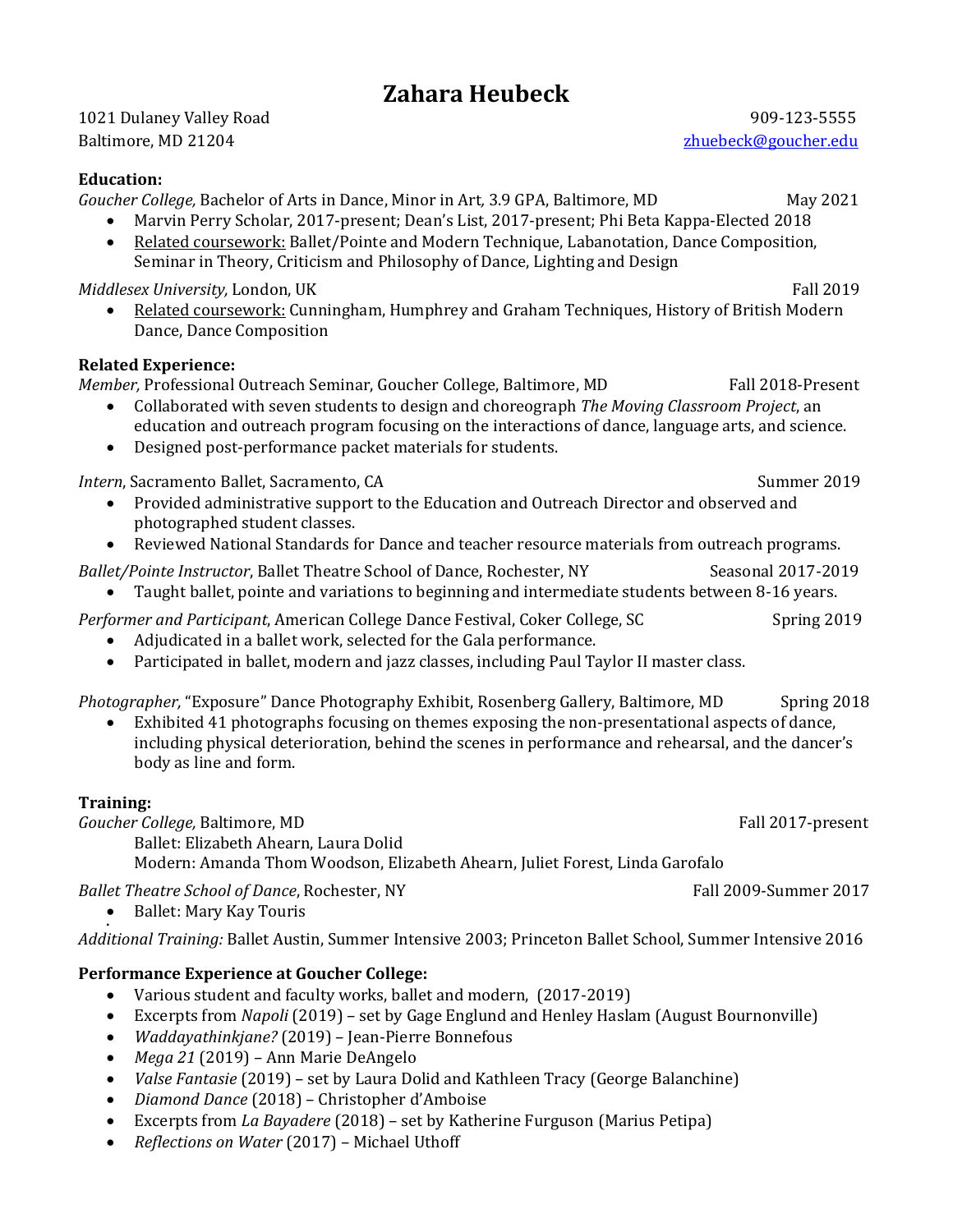### **Zahara Heubeck**

1021 Dulaney Valley Road 909-123-5555 Baltimore, MD 21204 zhuebeck@goucher.edu

#### **Education:**

*Goucher College,* Bachelor of Arts in Dance, Minor in Art*,* 3.9 GPA, Baltimore, MD May 2021

- Marvin Perry Scholar, 2017-present; Dean's List, 2017-present; Phi Beta Kappa-Elected 2018
- Related coursework: Ballet/Pointe and Modern Technique, Labanotation, Dance Composition, Seminar in Theory, Criticism and Philosophy of Dance, Lighting and Design

*Middlesex University,* London, UK **Fall 2019** Fall 2019

 Related coursework: Cunningham, Humphrey and Graham Techniques, History of British Modern Dance, Dance Composition

#### **Related Experience:**

*Member,* Professional Outreach Seminar, Goucher College, Baltimore, MD Fall 2018-Present

- Collaborated with seven students to design and choreograph *The Moving Classroom Project*, an education and outreach program focusing on the interactions of dance, language arts, and science.
- Designed post-performance packet materials for students.

*Intern*, Sacramento Ballet, Sacramento, CA Summer 2019

- Provided administrative support to the Education and Outreach Director and observed and photographed student classes.
- Reviewed National Standards for Dance and teacher resource materials from outreach programs.

*Ballet/Pointe Instructor*, Ballet Theatre School of Dance, Rochester, NY Seasonal 2017-2019

Taught ballet, pointe and variations to beginning and intermediate students between 8-16 years.

*Performer and Participant*, American College Dance Festival, Coker College, SC Spring 2019

- Adjudicated in a ballet work, selected for the Gala performance.
- Participated in ballet, modern and jazz classes, including Paul Taylor II master class.

*Photographer,* "Exposure" Dance Photography Exhibit, Rosenberg Gallery, Baltimore, MD Spring 2018

 Exhibited 41 photographs focusing on themes exposing the non-presentational aspects of dance, including physical deterioration, behind the scenes in performance and rehearsal, and the dancer's body as line and form.

#### **Training:**

*Goucher College,* Baltimore, MD **Fall 2017-present** Fall 2017-present Ballet: Elizabeth Ahearn, Laura Dolid

Modern: Amanda Thom Woodson, Elizabeth Ahearn, Juliet Forest, Linda Garofalo

*Ballet Theatre School of Dance, Rochester, NY* Fall 2009-Summer 2017

• Ballet: Mary Kay Touris

. *Additional Training:* Ballet Austin, Summer Intensive 2003; Princeton Ballet School, Summer Intensive 2016

### **Performance Experience at Goucher College:**

- Various student and faculty works, ballet and modern, (2017-2019)
- Excerpts from *Napoli* (2019) set by Gage Englund and Henley Haslam (August Bournonville)
- *Waddayathinkjane?* (2019) Jean-Pierre Bonnefous
- *Mega 21* (2019) Ann Marie DeAngelo
- *Valse Fantasie* (2019) set by Laura Dolid and Kathleen Tracy (George Balanchine)
- *Diamond Dance* (2018) Christopher d'Amboise
- Excerpts from *La Bayadere* (2018) set by Katherine Furguson (Marius Petipa)
- *Reflections on Water* (2017) Michael Uthoff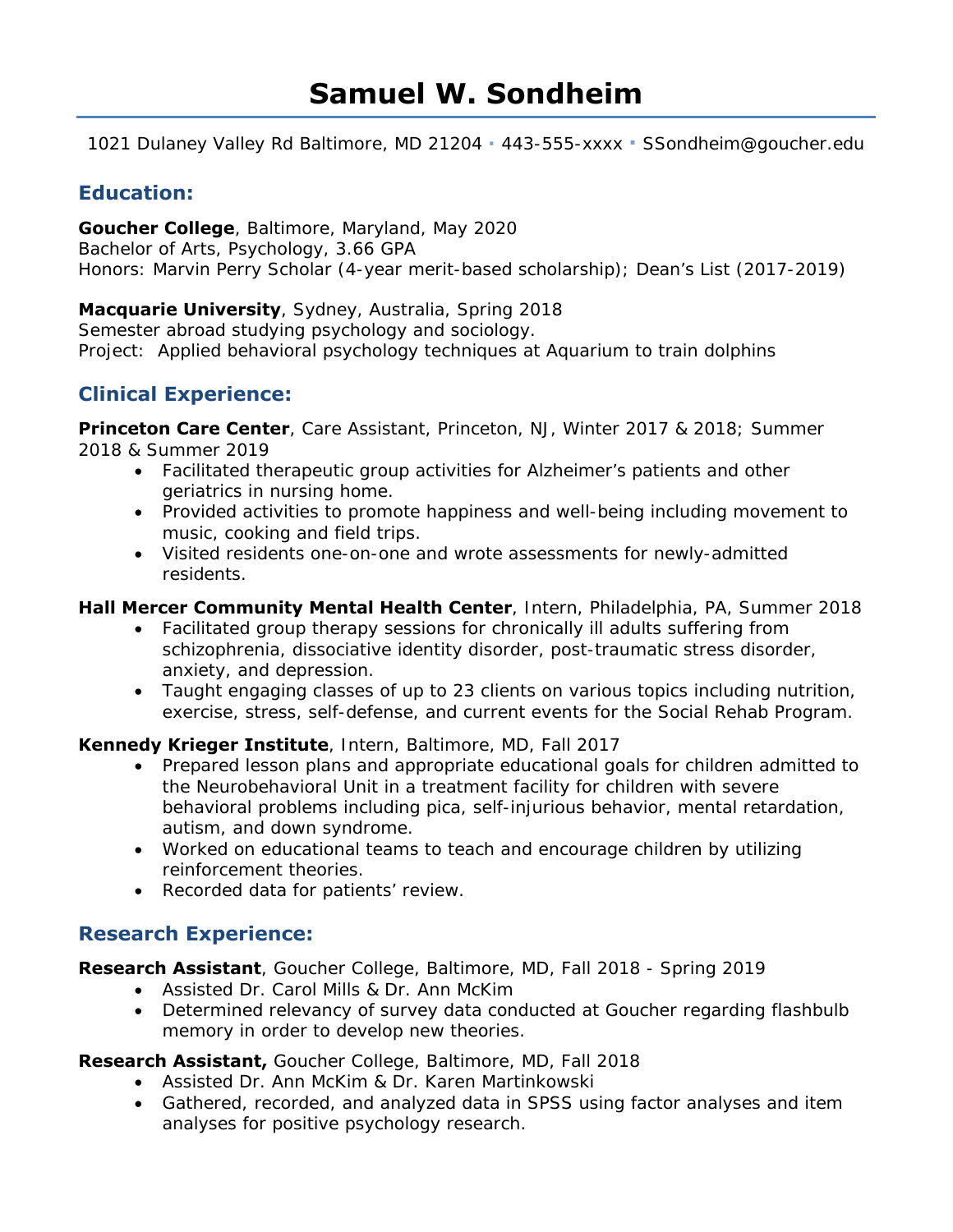1021 Dulaney Valley Rd Baltimore, MD 21204 **∙** 443-555-xxxx **∙** SSondheim@goucher.edu

### **Education:**

**Goucher College**, Baltimore, Maryland, May 2020 *Bachelor of Arts*, Psychology, 3.66 GPA *Honors*: Marvin Perry Scholar (4-year merit-based scholarship); Dean's List (2017-2019)

**Macquarie University**, Sydney, Australia, Spring 2018 Semester abroad studying psychology and sociology. *Project*: Applied behavioral psychology techniques at Aquarium to train dolphins

### **Clinical Experience:**

**Princeton Care Center**, *Care Assistant*, Princeton, NJ, Winter 2017 & 2018; Summer 2018 & Summer 2019

- Facilitated therapeutic group activities for Alzheimer's patients and other geriatrics in nursing home.
- Provided activities to promote happiness and well-being including movement to music, cooking and field trips.
- Visited residents one-on-one and wrote assessments for newly-admitted residents.

**Hall Mercer Community Mental Health Center**, *Intern*, Philadelphia, PA, Summer 2018

- Facilitated group therapy sessions for chronically ill adults suffering from schizophrenia, dissociative identity disorder, post-traumatic stress disorder, anxiety, and depression.
- Taught engaging classes of up to 23 clients on various topics including nutrition, exercise, stress, self-defense, and current events for the Social Rehab Program.

**Kennedy Krieger Institute**, *Intern*, Baltimore, MD, Fall 2017

- Prepared lesson plans and appropriate educational goals for children admitted to the Neurobehavioral Unit in a treatment facility for children with severe behavioral problems including pica, self-injurious behavior, mental retardation, autism, and down syndrome.
- Worked on educational teams to teach and encourage children by utilizing reinforcement theories.
- Recorded data for patients' review.

### **Research Experience:**

**Research Assistant**, *Goucher College*, Baltimore, MD, Fall 2018 - Spring 2019

- Assisted Dr. Carol Mills & Dr. Ann McKim
- Determined relevancy of survey data conducted at Goucher regarding flashbulb memory in order to develop new theories.

**Research Assistant,** *Goucher College,* Baltimore, MD, Fall 2018

- Assisted Dr. Ann McKim & Dr. Karen Martinkowski
- Gathered, recorded, and analyzed data in SPSS using factor analyses and item analyses for positive psychology research.